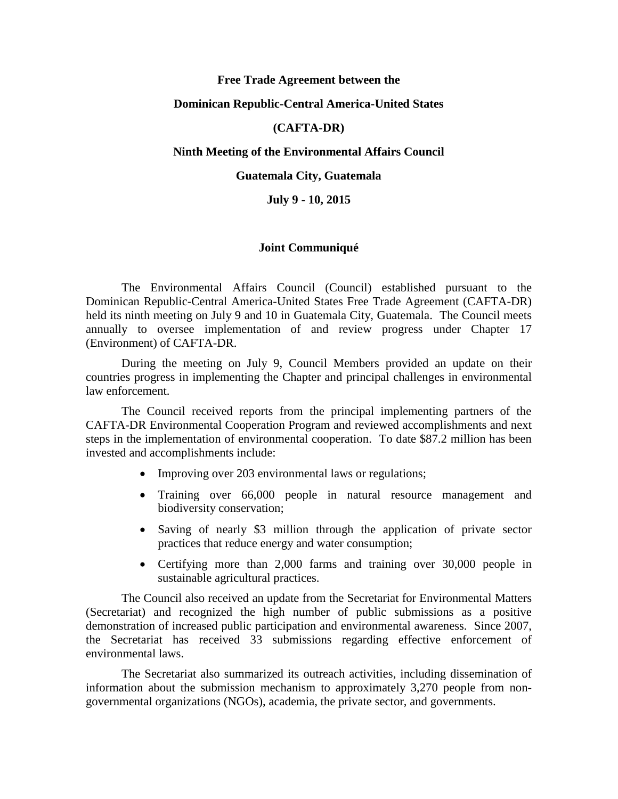## **Free Trade Agreement between the**

## **Dominican Republic-Central America-United States**

# **(CAFTA-DR)**

### **Ninth Meeting of the Environmental Affairs Council**

### **Guatemala City, Guatemala**

# **July 9 - 10, 2015**

#### **Joint Communiqué**

The Environmental Affairs Council (Council) established pursuant to the Dominican Republic-Central America-United States Free Trade Agreement (CAFTA-DR) held its ninth meeting on July 9 and 10 in Guatemala City, Guatemala. The Council meets annually to oversee implementation of and review progress under Chapter 17 (Environment) of CAFTA-DR.

During the meeting on July 9, Council Members provided an update on their countries progress in implementing the Chapter and principal challenges in environmental law enforcement.

The Council received reports from the principal implementing partners of the CAFTA-DR Environmental Cooperation Program and reviewed accomplishments and next steps in the implementation of environmental cooperation. To date \$87.2 million has been invested and accomplishments include:

- Improving over 203 environmental laws or regulations;
- Training over 66,000 people in natural resource management and biodiversity conservation;
- Saving of nearly \$3 million through the application of private sector practices that reduce energy and water consumption;
- Certifying more than 2,000 farms and training over 30,000 people in sustainable agricultural practices.

The Council also received an update from the Secretariat for Environmental Matters (Secretariat) and recognized the high number of public submissions as a positive demonstration of increased public participation and environmental awareness. Since 2007, the Secretariat has received 33 submissions regarding effective enforcement of environmental laws.

The Secretariat also summarized its outreach activities, including dissemination of information about the submission mechanism to approximately 3,270 people from nongovernmental organizations (NGOs), academia, the private sector, and governments.